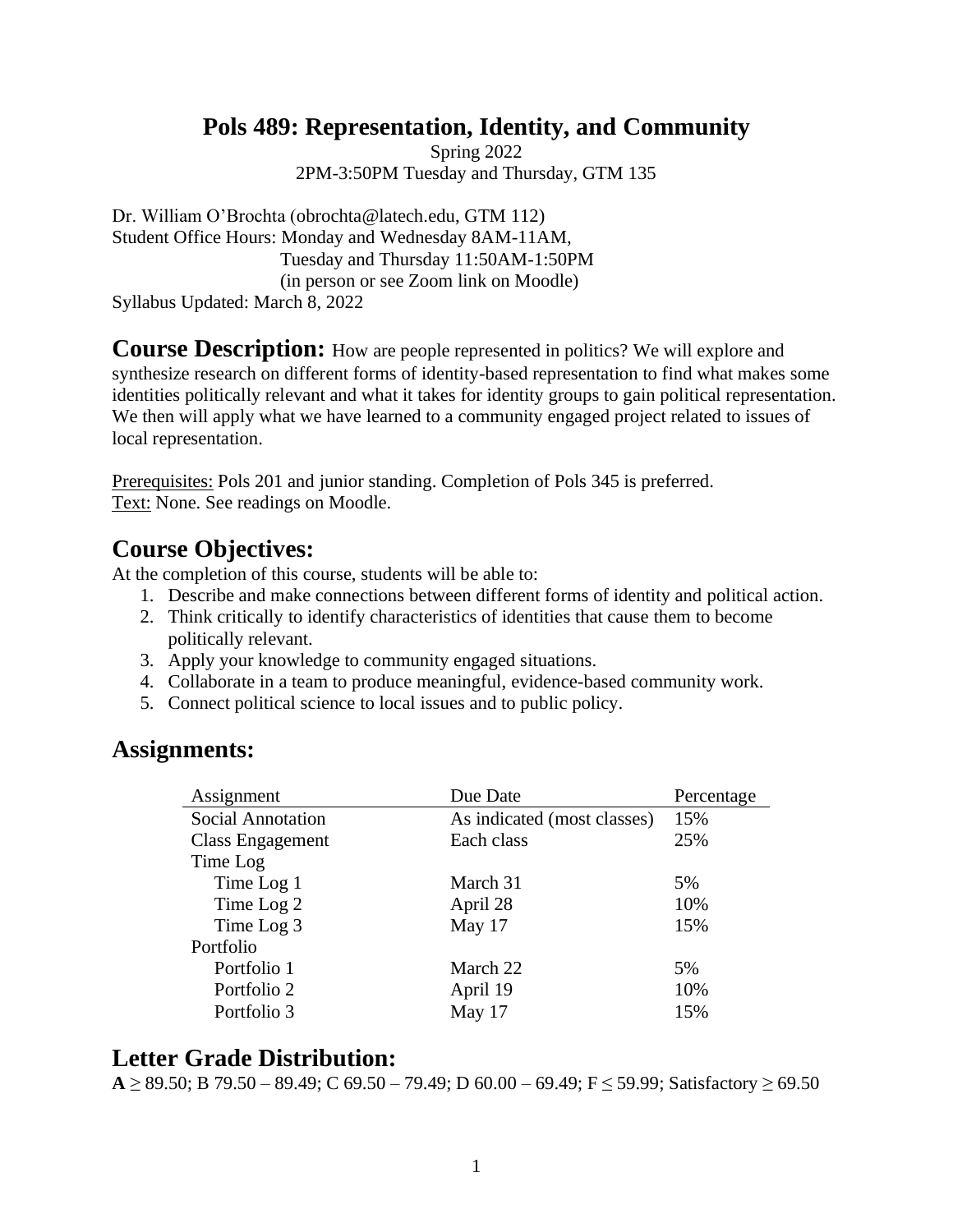## **Pols 489: Representation, Identity, and Community**

Spring 2022 2PM-3:50PM Tuesday and Thursday, GTM 135

Dr. William O'Brochta (obrochta@latech.edu, GTM 112) Student Office Hours: Monday and Wednesday 8AM-11AM, Tuesday and Thursday 11:50AM-1:50PM (in person or see Zoom link on Moodle) Syllabus Updated: March 8, 2022

**Course Description:** How are people represented in politics? We will explore and synthesize research on different forms of identity-based representation to find what makes some identities politically relevant and what it takes for identity groups to gain political representation. We then will apply what we have learned to a community engaged project related to issues of local representation.

Prerequisites: Pols 201 and junior standing. Completion of Pols 345 is preferred. Text: None. See readings on Moodle.

## **Course Objectives:**

At the completion of this course, students will be able to:

- 1. Describe and make connections between different forms of identity and political action.
- 2. Think critically to identify characteristics of identities that cause them to become politically relevant.
- 3. Apply your knowledge to community engaged situations.
- 4. Collaborate in a team to produce meaningful, evidence-based community work.
- 5. Connect political science to local issues and to public policy.

### **Assignments:**

| Assignment               | Due Date                    | Percentage |
|--------------------------|-----------------------------|------------|
| <b>Social Annotation</b> | As indicated (most classes) | 15%        |
| Class Engagement         | Each class                  | 25%        |
| Time Log                 |                             |            |
| Time Log 1               | March 31                    | 5%         |
| Time Log 2               | April 28                    | 10%        |
| Time Log 3               | May 17                      | 15%        |
| Portfolio                |                             |            |
| Portfolio 1              | March 22                    | 5%         |
| Portfolio 2              | April 19                    | 10%        |
| Portfolio 3              | May 17                      | 15%        |

## **Letter Grade Distribution:**

**A** ≥ 89.50; B 79.50 – 89.49; C 69.50 – 79.49; D 60.00 – 69.49; F ≤ 59.99; Satisfactory ≥ 69.50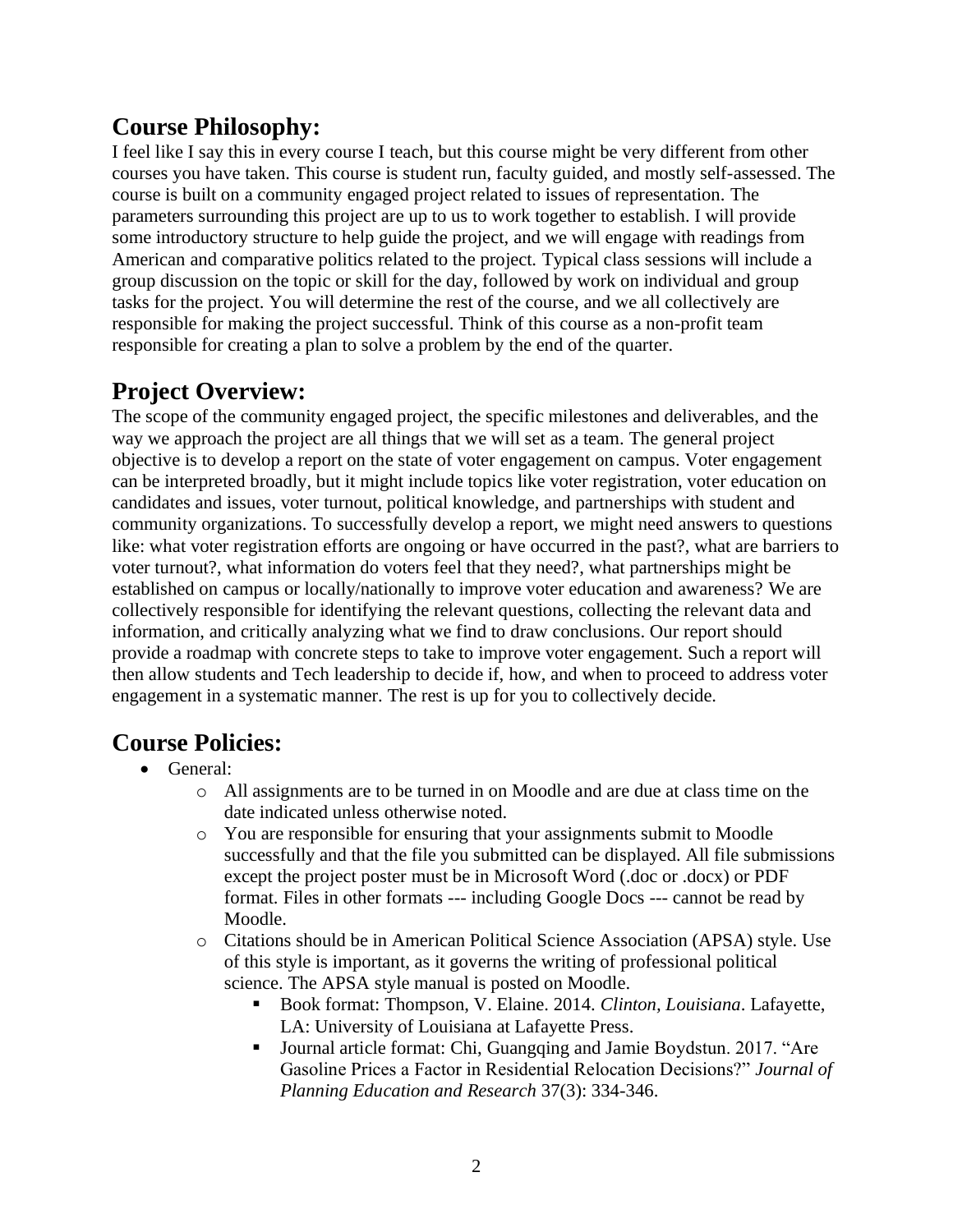# **Course Philosophy:**

I feel like I say this in every course I teach, but this course might be very different from other courses you have taken. This course is student run, faculty guided, and mostly self-assessed. The course is built on a community engaged project related to issues of representation. The parameters surrounding this project are up to us to work together to establish. I will provide some introductory structure to help guide the project, and we will engage with readings from American and comparative politics related to the project. Typical class sessions will include a group discussion on the topic or skill for the day, followed by work on individual and group tasks for the project. You will determine the rest of the course, and we all collectively are responsible for making the project successful. Think of this course as a non-profit team responsible for creating a plan to solve a problem by the end of the quarter.

# **Project Overview:**

The scope of the community engaged project, the specific milestones and deliverables, and the way we approach the project are all things that we will set as a team. The general project objective is to develop a report on the state of voter engagement on campus. Voter engagement can be interpreted broadly, but it might include topics like voter registration, voter education on candidates and issues, voter turnout, political knowledge, and partnerships with student and community organizations. To successfully develop a report, we might need answers to questions like: what voter registration efforts are ongoing or have occurred in the past?, what are barriers to voter turnout?, what information do voters feel that they need?, what partnerships might be established on campus or locally/nationally to improve voter education and awareness? We are collectively responsible for identifying the relevant questions, collecting the relevant data and information, and critically analyzing what we find to draw conclusions. Our report should provide a roadmap with concrete steps to take to improve voter engagement. Such a report will then allow students and Tech leadership to decide if, how, and when to proceed to address voter engagement in a systematic manner. The rest is up for you to collectively decide.

# **Course Policies:**

- General:
	- o All assignments are to be turned in on Moodle and are due at class time on the date indicated unless otherwise noted.
	- o You are responsible for ensuring that your assignments submit to Moodle successfully and that the file you submitted can be displayed. All file submissions except the project poster must be in Microsoft Word (.doc or .docx) or PDF format. Files in other formats --- including Google Docs --- cannot be read by Moodle.
	- o Citations should be in American Political Science Association (APSA) style. Use of this style is important, as it governs the writing of professional political science. The APSA style manual is posted on Moodle.
		- Book format: Thompson, V. Elaine. 2014. *Clinton, Louisiana*. Lafayette, LA: University of Louisiana at Lafayette Press.
		- Journal article format: Chi, Guangqing and Jamie Boydstun. 2017. "Are Gasoline Prices a Factor in Residential Relocation Decisions?" *Journal of Planning Education and Research* 37(3): 334-346.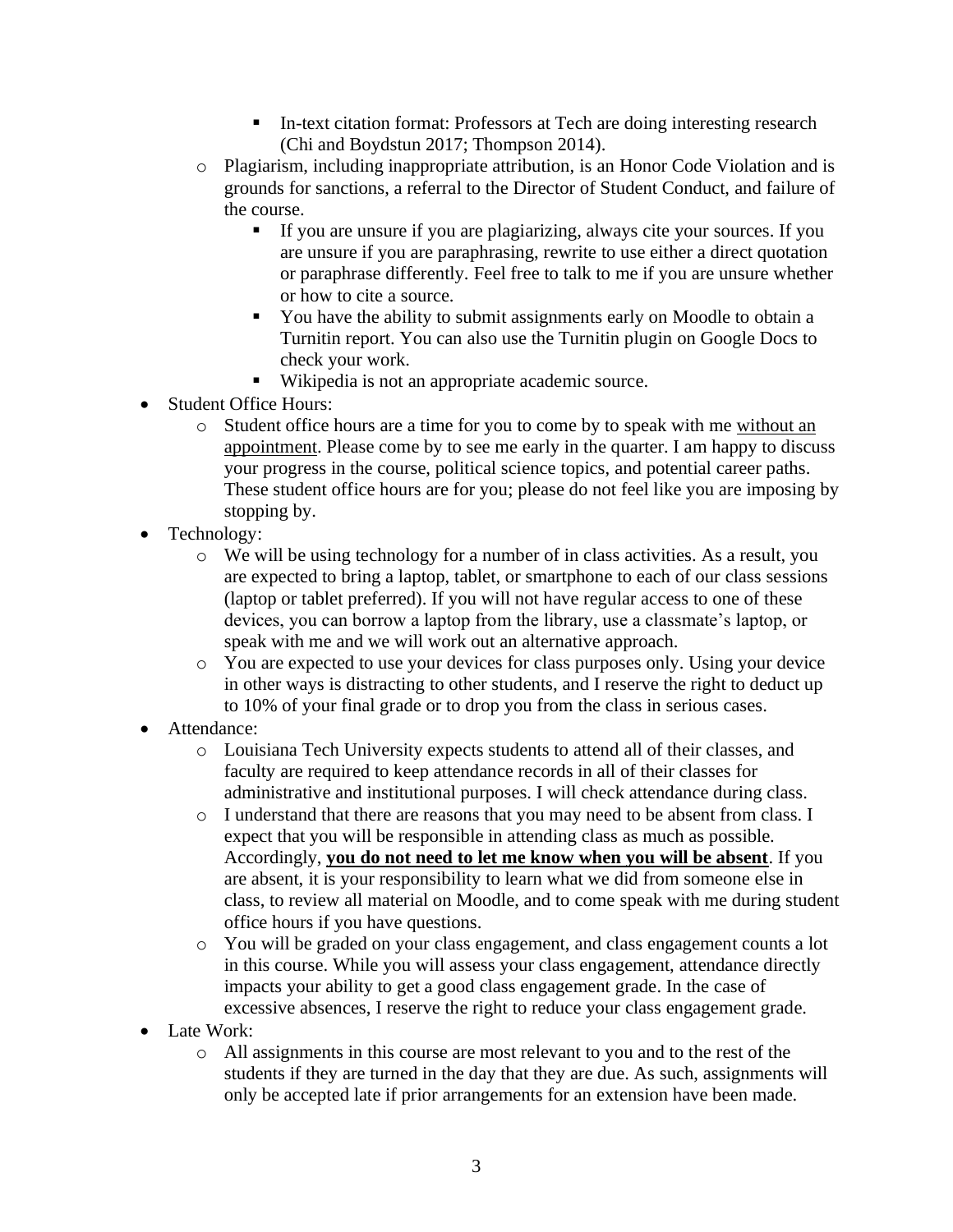- In-text citation format: Professors at Tech are doing interesting research (Chi and Boydstun 2017; Thompson 2014).
- o Plagiarism, including inappropriate attribution, is an Honor Code Violation and is grounds for sanctions, a referral to the Director of Student Conduct, and failure of the course.
	- If you are unsure if you are plagiarizing, always cite your sources. If you are unsure if you are paraphrasing, rewrite to use either a direct quotation or paraphrase differently. Feel free to talk to me if you are unsure whether or how to cite a source.
	- You have the ability to submit assignments early on Moodle to obtain a Turnitin report. You can also use the Turnitin plugin on Google Docs to check your work.
	- Wikipedia is not an appropriate academic source.
- Student Office Hours:
	- o Student office hours are a time for you to come by to speak with me without an appointment. Please come by to see me early in the quarter. I am happy to discuss your progress in the course, political science topics, and potential career paths. These student office hours are for you; please do not feel like you are imposing by stopping by.
- Technology:
	- o We will be using technology for a number of in class activities. As a result, you are expected to bring a laptop, tablet, or smartphone to each of our class sessions (laptop or tablet preferred). If you will not have regular access to one of these devices, you can borrow a laptop from the library, use a classmate's laptop, or speak with me and we will work out an alternative approach.
	- o You are expected to use your devices for class purposes only. Using your device in other ways is distracting to other students, and I reserve the right to deduct up to 10% of your final grade or to drop you from the class in serious cases.
- Attendance:
	- o Louisiana Tech University expects students to attend all of their classes, and faculty are required to keep attendance records in all of their classes for administrative and institutional purposes. I will check attendance during class.
	- o I understand that there are reasons that you may need to be absent from class. I expect that you will be responsible in attending class as much as possible. Accordingly, **you do not need to let me know when you will be absent**. If you are absent, it is your responsibility to learn what we did from someone else in class, to review all material on Moodle, and to come speak with me during student office hours if you have questions.
	- o You will be graded on your class engagement, and class engagement counts a lot in this course. While you will assess your class engagement, attendance directly impacts your ability to get a good class engagement grade. In the case of excessive absences, I reserve the right to reduce your class engagement grade.
- Late Work:
	- o All assignments in this course are most relevant to you and to the rest of the students if they are turned in the day that they are due. As such, assignments will only be accepted late if prior arrangements for an extension have been made.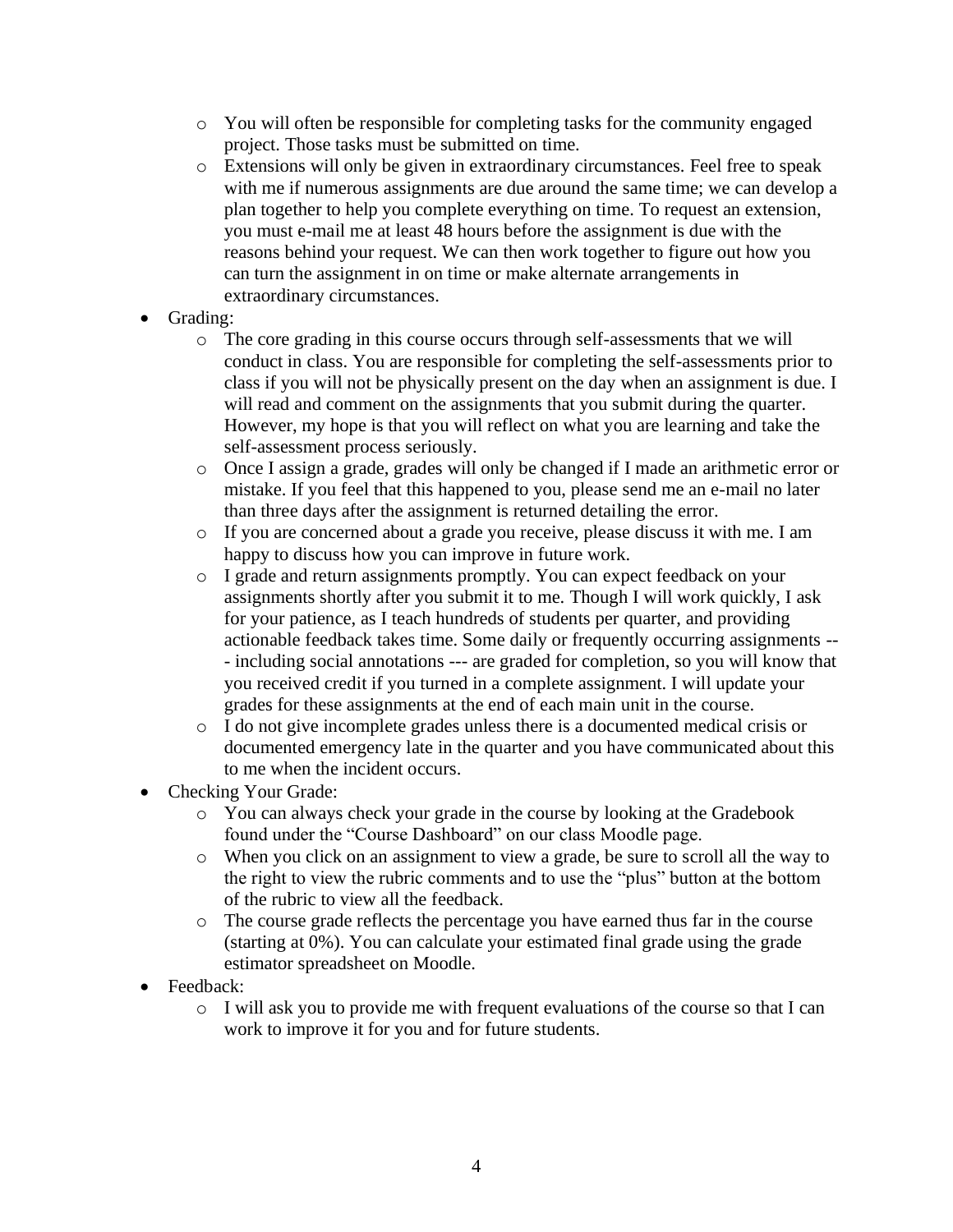- o You will often be responsible for completing tasks for the community engaged project. Those tasks must be submitted on time.
- o Extensions will only be given in extraordinary circumstances. Feel free to speak with me if numerous assignments are due around the same time; we can develop a plan together to help you complete everything on time. To request an extension, you must e-mail me at least 48 hours before the assignment is due with the reasons behind your request. We can then work together to figure out how you can turn the assignment in on time or make alternate arrangements in extraordinary circumstances.
- Grading:
	- o The core grading in this course occurs through self-assessments that we will conduct in class. You are responsible for completing the self-assessments prior to class if you will not be physically present on the day when an assignment is due. I will read and comment on the assignments that you submit during the quarter. However, my hope is that you will reflect on what you are learning and take the self-assessment process seriously.
	- o Once I assign a grade, grades will only be changed if I made an arithmetic error or mistake. If you feel that this happened to you, please send me an e-mail no later than three days after the assignment is returned detailing the error.
	- o If you are concerned about a grade you receive, please discuss it with me. I am happy to discuss how you can improve in future work.
	- o I grade and return assignments promptly. You can expect feedback on your assignments shortly after you submit it to me. Though I will work quickly, I ask for your patience, as I teach hundreds of students per quarter, and providing actionable feedback takes time. Some daily or frequently occurring assignments -- - including social annotations --- are graded for completion, so you will know that you received credit if you turned in a complete assignment. I will update your grades for these assignments at the end of each main unit in the course.
	- o I do not give incomplete grades unless there is a documented medical crisis or documented emergency late in the quarter and you have communicated about this to me when the incident occurs.
- Checking Your Grade:
	- o You can always check your grade in the course by looking at the Gradebook found under the "Course Dashboard" on our class Moodle page.
	- o When you click on an assignment to view a grade, be sure to scroll all the way to the right to view the rubric comments and to use the "plus" button at the bottom of the rubric to view all the feedback.
	- o The course grade reflects the percentage you have earned thus far in the course (starting at 0%). You can calculate your estimated final grade using the grade estimator spreadsheet on Moodle.
- Feedback:
	- o I will ask you to provide me with frequent evaluations of the course so that I can work to improve it for you and for future students.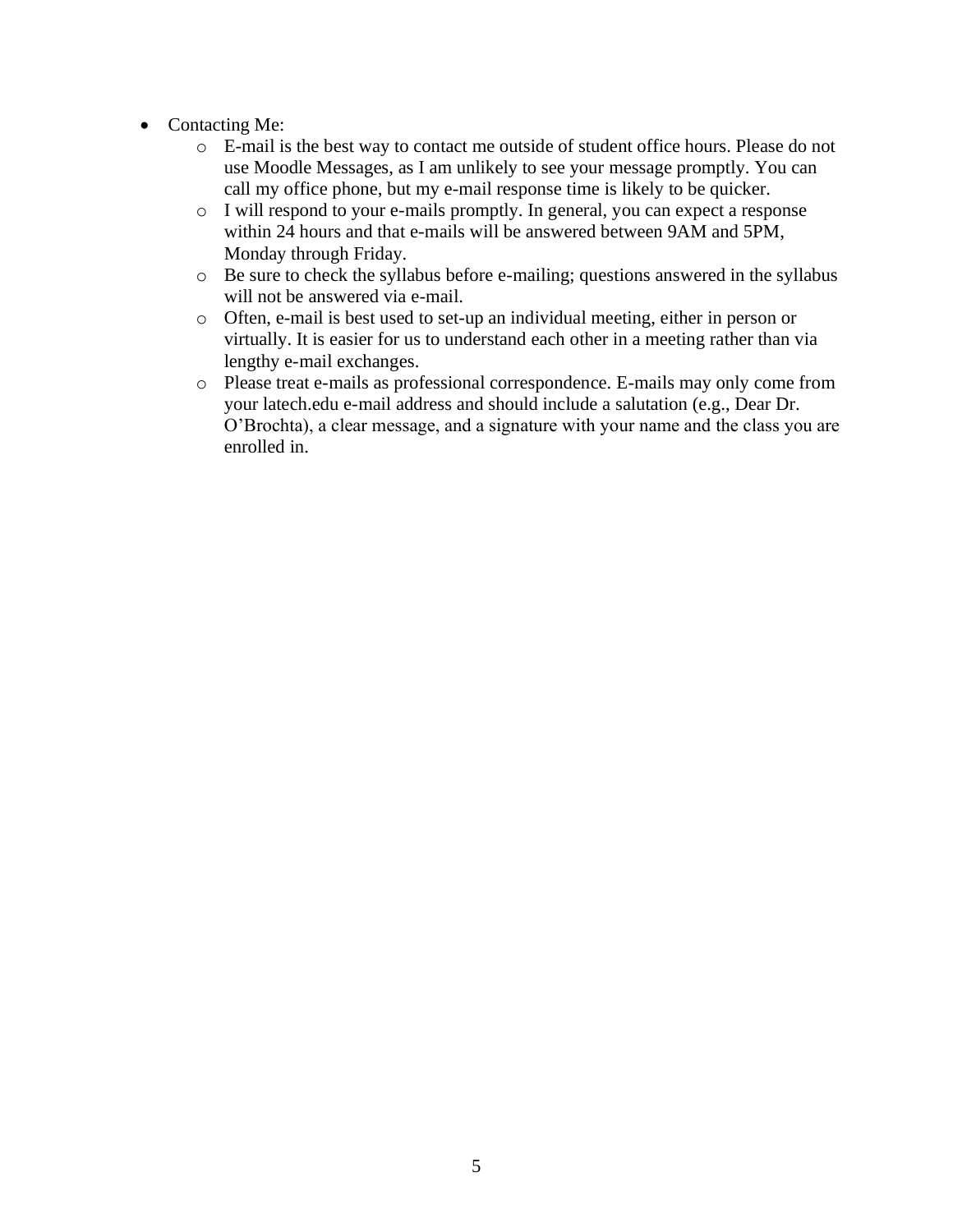- Contacting Me:
	- o E-mail is the best way to contact me outside of student office hours. Please do not use Moodle Messages, as I am unlikely to see your message promptly. You can call my office phone, but my e-mail response time is likely to be quicker.
	- o I will respond to your e-mails promptly. In general, you can expect a response within 24 hours and that e-mails will be answered between 9AM and 5PM, Monday through Friday.
	- o Be sure to check the syllabus before e-mailing; questions answered in the syllabus will not be answered via e-mail.
	- o Often, e-mail is best used to set-up an individual meeting, either in person or virtually. It is easier for us to understand each other in a meeting rather than via lengthy e-mail exchanges.
	- o Please treat e-mails as professional correspondence. E-mails may only come from your latech.edu e-mail address and should include a salutation (e.g., Dear Dr. O'Brochta), a clear message, and a signature with your name and the class you are enrolled in.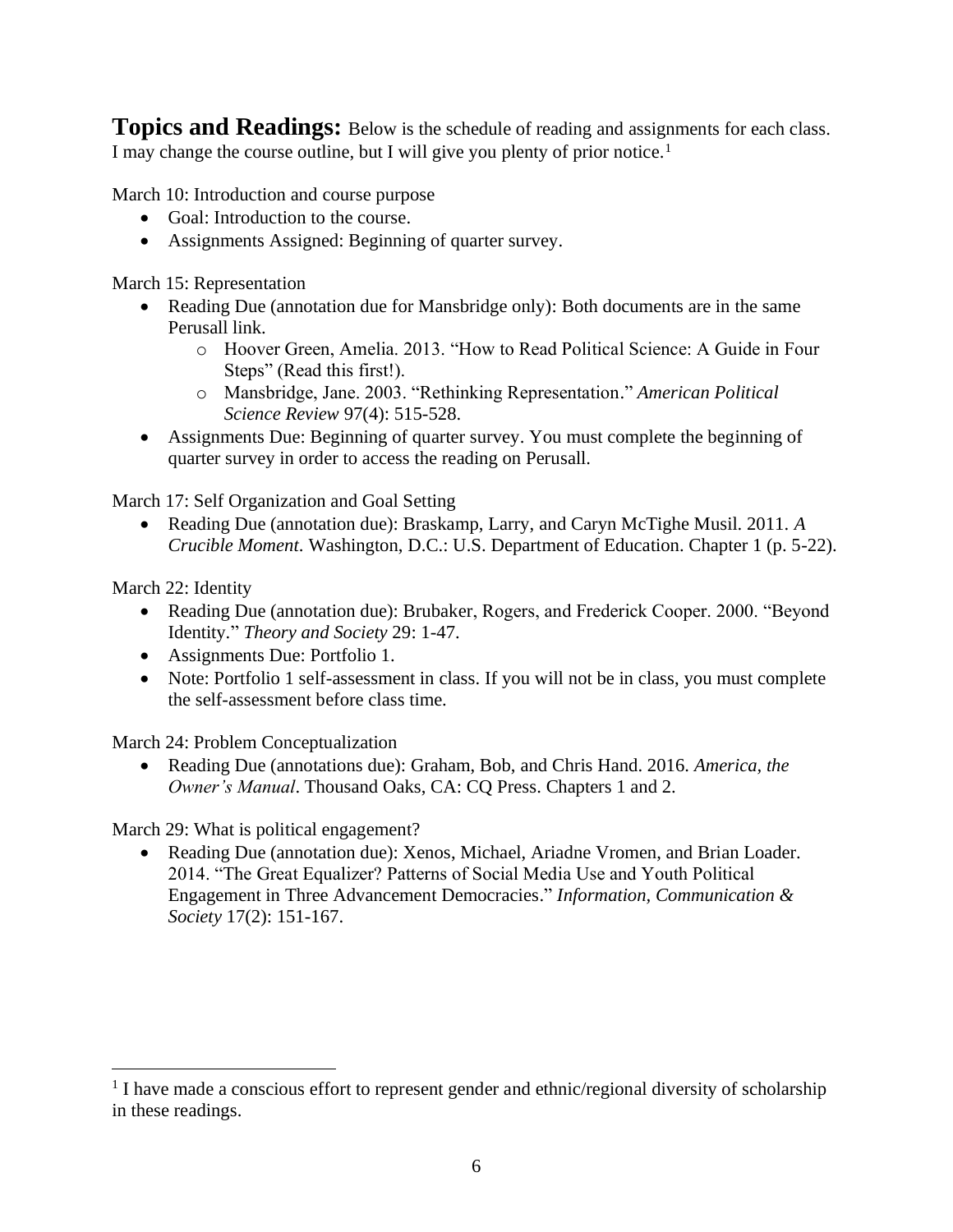**Topics and Readings:** Below is the schedule of reading and assignments for each class. I may change the course outline, but I will give you plenty of prior notice.<sup>1</sup>

March 10: Introduction and course purpose

- Goal: Introduction to the course.
- Assignments Assigned: Beginning of quarter survey.

March 15: Representation

- Reading Due (annotation due for Mansbridge only): Both documents are in the same Perusall link.
	- o Hoover Green, Amelia. 2013. "How to Read Political Science: A Guide in Four Steps" (Read this first!).
	- o Mansbridge, Jane. 2003. "Rethinking Representation." *American Political Science Review* 97(4): 515-528.
- Assignments Due: Beginning of quarter survey. You must complete the beginning of quarter survey in order to access the reading on Perusall.

March 17: Self Organization and Goal Setting

• Reading Due (annotation due): Braskamp, Larry, and Caryn McTighe Musil. 2011. *A Crucible Moment*. Washington, D.C.: U.S. Department of Education. Chapter 1 (p. 5-22).

March 22: Identity

- Reading Due (annotation due): Brubaker, Rogers, and Frederick Cooper. 2000. "Beyond Identity." *Theory and Society* 29: 1-47.
- Assignments Due: Portfolio 1.
- Note: Portfolio 1 self-assessment in class. If you will not be in class, you must complete the self-assessment before class time.

March 24: Problem Conceptualization

• Reading Due (annotations due): Graham, Bob, and Chris Hand. 2016. *America, the Owner's Manual*. Thousand Oaks, CA: CQ Press. Chapters 1 and 2.

March 29: What is political engagement?

• Reading Due (annotation due): Xenos, Michael, Ariadne Vromen, and Brian Loader. 2014. "The Great Equalizer? Patterns of Social Media Use and Youth Political Engagement in Three Advancement Democracies." *Information, Communication & Society* 17(2): 151-167.

<sup>&</sup>lt;sup>1</sup> I have made a conscious effort to represent gender and ethnic/regional diversity of scholarship in these readings.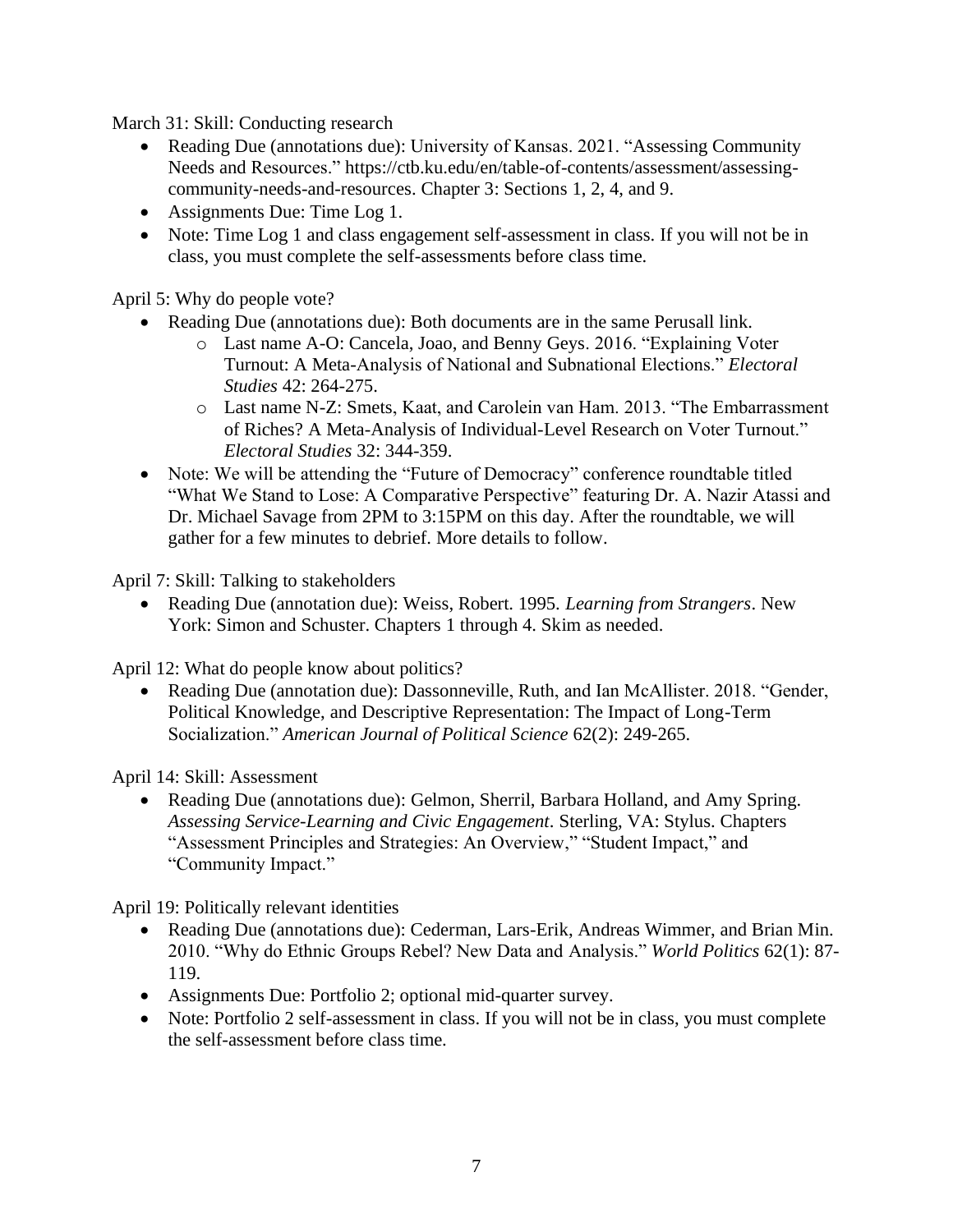March 31: Skill: Conducting research

- Reading Due (annotations due): University of Kansas. 2021. "Assessing Community Needs and Resources." https://ctb.ku.edu/en/table-of-contents/assessment/assessingcommunity-needs-and-resources. Chapter 3: Sections 1, 2, 4, and 9.
- Assignments Due: Time Log 1.
- Note: Time Log 1 and class engagement self-assessment in class. If you will not be in class, you must complete the self-assessments before class time.

April 5: Why do people vote?

- Reading Due (annotations due): Both documents are in the same Perusall link.
	- o Last name A-O: Cancela, Joao, and Benny Geys. 2016. "Explaining Voter Turnout: A Meta-Analysis of National and Subnational Elections." *Electoral Studies* 42: 264-275.
	- o Last name N-Z: Smets, Kaat, and Carolein van Ham. 2013. "The Embarrassment of Riches? A Meta-Analysis of Individual-Level Research on Voter Turnout." *Electoral Studies* 32: 344-359.
- Note: We will be attending the "Future of Democracy" conference roundtable titled "What We Stand to Lose: A Comparative Perspective" featuring Dr. A. Nazir Atassi and Dr. Michael Savage from 2PM to 3:15PM on this day. After the roundtable, we will gather for a few minutes to debrief. More details to follow.

April 7: Skill: Talking to stakeholders

• Reading Due (annotation due): Weiss, Robert. 1995. *Learning from Strangers*. New York: Simon and Schuster. Chapters 1 through 4. Skim as needed.

April 12: What do people know about politics?

• Reading Due (annotation due): Dassonneville, Ruth, and Ian McAllister. 2018. "Gender, Political Knowledge, and Descriptive Representation: The Impact of Long-Term Socialization." *American Journal of Political Science* 62(2): 249-265.

April 14: Skill: Assessment

• Reading Due (annotations due): Gelmon, Sherril, Barbara Holland, and Amy Spring. *Assessing Service-Learning and Civic Engagement*. Sterling, VA: Stylus. Chapters "Assessment Principles and Strategies: An Overview," "Student Impact," and "Community Impact."

April 19: Politically relevant identities

- Reading Due (annotations due): Cederman, Lars-Erik, Andreas Wimmer, and Brian Min. 2010. "Why do Ethnic Groups Rebel? New Data and Analysis." *World Politics* 62(1): 87- 119.
- Assignments Due: Portfolio 2; optional mid-quarter survey.
- Note: Portfolio 2 self-assessment in class. If you will not be in class, you must complete the self-assessment before class time.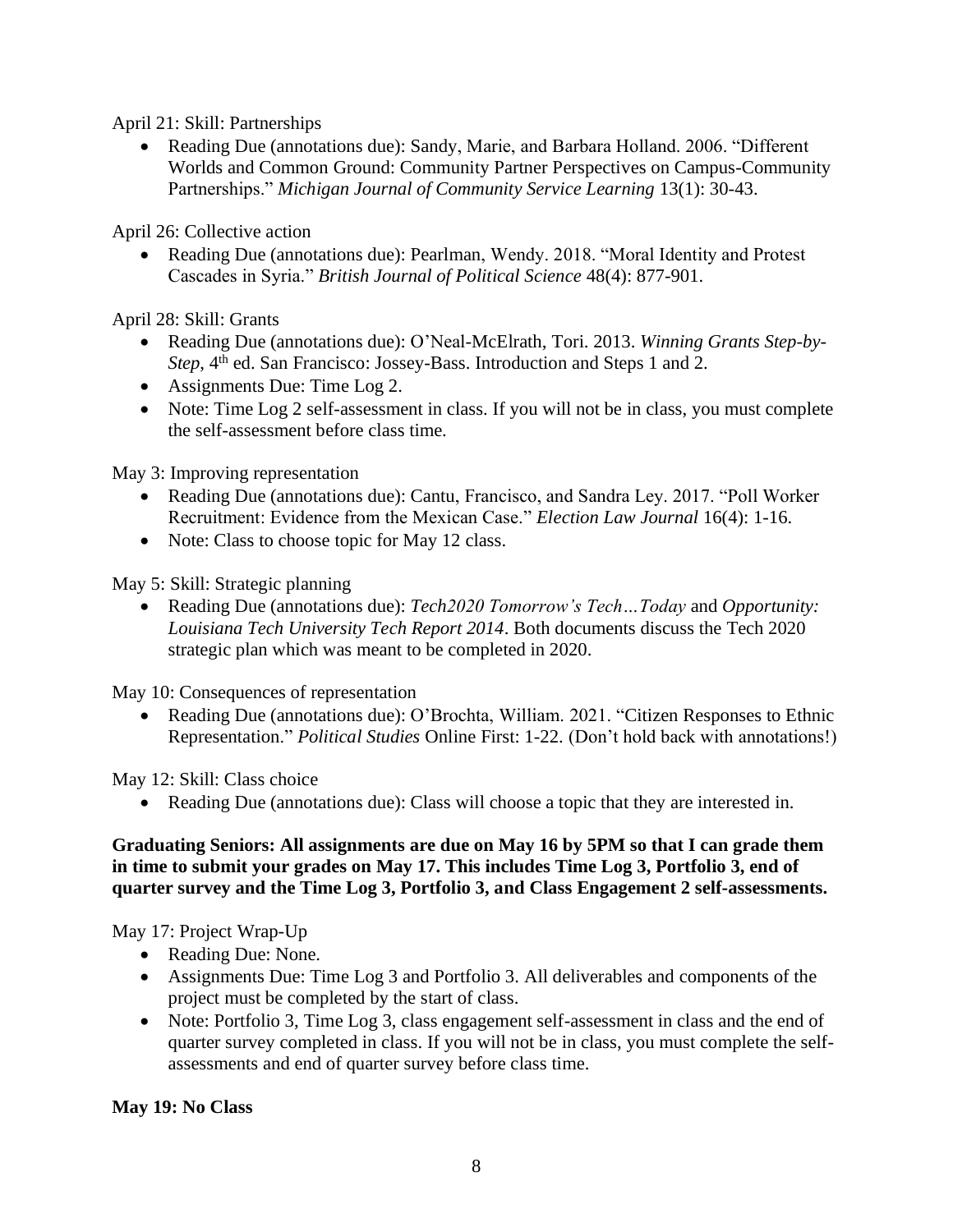April 21: Skill: Partnerships

• Reading Due (annotations due): Sandy, Marie, and Barbara Holland. 2006. "Different Worlds and Common Ground: Community Partner Perspectives on Campus-Community Partnerships." *Michigan Journal of Community Service Learning* 13(1): 30-43.

April 26: Collective action

• Reading Due (annotations due): Pearlman, Wendy. 2018. "Moral Identity and Protest Cascades in Syria." *British Journal of Political Science* 48(4): 877-901.

April 28: Skill: Grants

- Reading Due (annotations due): O'Neal-McElrath, Tori. 2013. *Winning Grants Step-by-Step*, 4<sup>th</sup> ed. San Francisco: Jossey-Bass. Introduction and Steps 1 and 2.
- Assignments Due: Time Log 2.
- Note: Time Log 2 self-assessment in class. If you will not be in class, you must complete the self-assessment before class time.

May 3: Improving representation

- Reading Due (annotations due): Cantu, Francisco, and Sandra Ley. 2017. "Poll Worker Recruitment: Evidence from the Mexican Case." *Election Law Journal* 16(4): 1-16.
- Note: Class to choose topic for May 12 class.

May 5: Skill: Strategic planning

• Reading Due (annotations due): *Tech2020 Tomorrow's Tech…Today* and *Opportunity: Louisiana Tech University Tech Report 2014*. Both documents discuss the Tech 2020 strategic plan which was meant to be completed in 2020.

May 10: Consequences of representation

• Reading Due (annotations due): O'Brochta, William. 2021. "Citizen Responses to Ethnic Representation." *Political Studies* Online First: 1-22. (Don't hold back with annotations!)

May 12: Skill: Class choice

• Reading Due (annotations due): Class will choose a topic that they are interested in.

#### **Graduating Seniors: All assignments are due on May 16 by 5PM so that I can grade them in time to submit your grades on May 17. This includes Time Log 3, Portfolio 3, end of quarter survey and the Time Log 3, Portfolio 3, and Class Engagement 2 self-assessments.**

May 17: Project Wrap-Up

- Reading Due: None.
- Assignments Due: Time Log 3 and Portfolio 3. All deliverables and components of the project must be completed by the start of class.
- Note: Portfolio 3, Time Log 3, class engagement self-assessment in class and the end of quarter survey completed in class. If you will not be in class, you must complete the selfassessments and end of quarter survey before class time.

**May 19: No Class**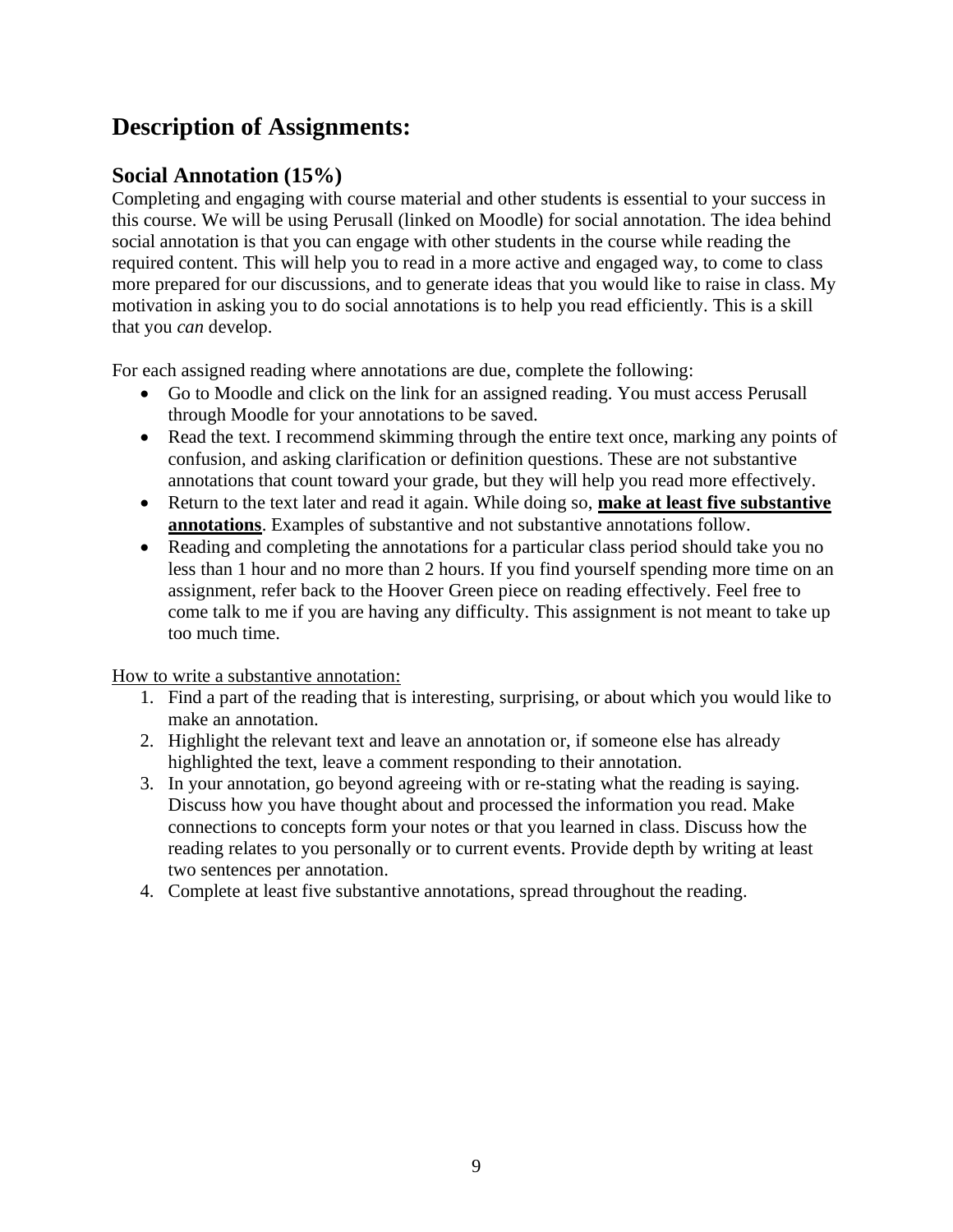# **Description of Assignments:**

### **Social Annotation (15%)**

Completing and engaging with course material and other students is essential to your success in this course. We will be using Perusall (linked on Moodle) for social annotation. The idea behind social annotation is that you can engage with other students in the course while reading the required content. This will help you to read in a more active and engaged way, to come to class more prepared for our discussions, and to generate ideas that you would like to raise in class. My motivation in asking you to do social annotations is to help you read efficiently. This is a skill that you *can* develop.

For each assigned reading where annotations are due, complete the following:

- Go to Moodle and click on the link for an assigned reading. You must access Perusall through Moodle for your annotations to be saved.
- Read the text. I recommend skimming through the entire text once, marking any points of confusion, and asking clarification or definition questions. These are not substantive annotations that count toward your grade, but they will help you read more effectively.
- Return to the text later and read it again. While doing so, **make at least five substantive annotations**. Examples of substantive and not substantive annotations follow.
- Reading and completing the annotations for a particular class period should take you no less than 1 hour and no more than 2 hours. If you find yourself spending more time on an assignment, refer back to the Hoover Green piece on reading effectively. Feel free to come talk to me if you are having any difficulty. This assignment is not meant to take up too much time.

How to write a substantive annotation:

- 1. Find a part of the reading that is interesting, surprising, or about which you would like to make an annotation.
- 2. Highlight the relevant text and leave an annotation or, if someone else has already highlighted the text, leave a comment responding to their annotation.
- 3. In your annotation, go beyond agreeing with or re-stating what the reading is saying. Discuss how you have thought about and processed the information you read. Make connections to concepts form your notes or that you learned in class. Discuss how the reading relates to you personally or to current events. Provide depth by writing at least two sentences per annotation.
- 4. Complete at least five substantive annotations, spread throughout the reading.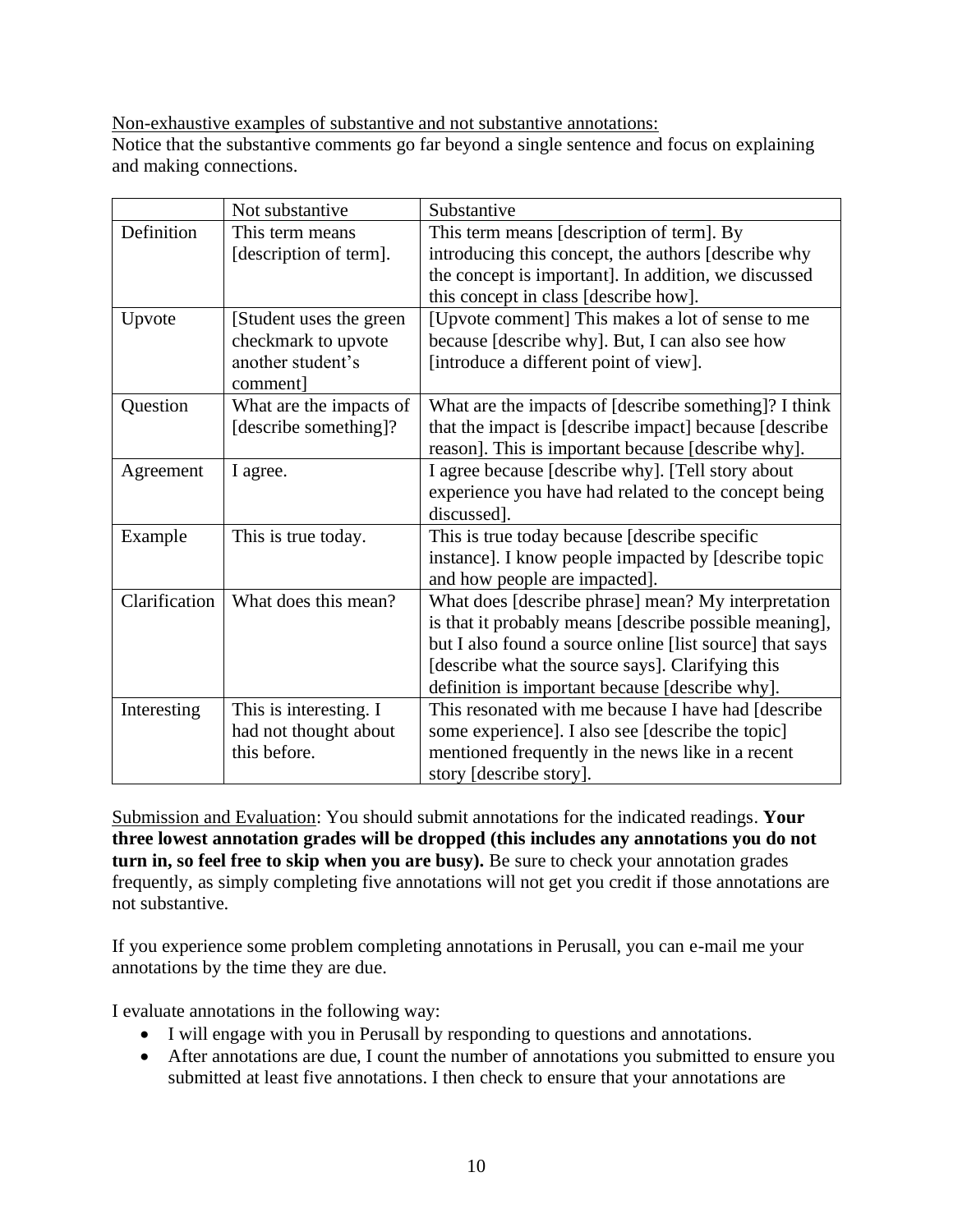Non-exhaustive examples of substantive and not substantive annotations:

Notice that the substantive comments go far beyond a single sentence and focus on explaining and making connections.

|               | Not substantive          | Substantive                                              |  |  |
|---------------|--------------------------|----------------------------------------------------------|--|--|
| Definition    | This term means          | This term means [description of term]. By                |  |  |
|               | [description of term].   | introducing this concept, the authors [describe why      |  |  |
|               |                          | the concept is important]. In addition, we discussed     |  |  |
|               |                          | this concept in class [describe how].                    |  |  |
| Upvote        | [Student uses the green] | [Upvote comment] This makes a lot of sense to me         |  |  |
|               | checkmark to upvote      | because [describe why]. But, I can also see how          |  |  |
|               | another student's        | [introduce a different point of view].                   |  |  |
|               | comment]                 |                                                          |  |  |
| Question      | What are the impacts of  | What are the impacts of [describe something]? I think    |  |  |
|               | [describe something]?    | that the impact is [describe impact] because [describe   |  |  |
|               |                          | reason]. This is important because [describe why].       |  |  |
| Agreement     | I agree.                 | I agree because [describe why]. [Tell story about        |  |  |
|               |                          | experience you have had related to the concept being     |  |  |
|               |                          | discussed].                                              |  |  |
| Example       | This is true today.      | This is true today because [describe specific]           |  |  |
|               |                          | instance]. I know people impacted by [describe topic     |  |  |
|               |                          | and how people are impacted].                            |  |  |
| Clarification | What does this mean?     | What does [describe phrase] mean? My interpretation      |  |  |
|               |                          | is that it probably means [describe possible meaning],   |  |  |
|               |                          | but I also found a source online [list source] that says |  |  |
|               |                          | [describe what the source says]. Clarifying this         |  |  |
|               |                          | definition is important because [describe why].          |  |  |
| Interesting   | This is interesting. I   | This resonated with me because I have had [describe      |  |  |
|               | had not thought about    | some experience]. I also see [describe the topic]        |  |  |
|               | this before.             | mentioned frequently in the news like in a recent        |  |  |
|               |                          | story [describe story].                                  |  |  |

Submission and Evaluation: You should submit annotations for the indicated readings. **Your three lowest annotation grades will be dropped (this includes any annotations you do not turn in, so feel free to skip when you are busy).** Be sure to check your annotation grades frequently, as simply completing five annotations will not get you credit if those annotations are not substantive.

If you experience some problem completing annotations in Perusall, you can e-mail me your annotations by the time they are due.

I evaluate annotations in the following way:

- I will engage with you in Perusall by responding to questions and annotations.
- After annotations are due, I count the number of annotations you submitted to ensure you submitted at least five annotations. I then check to ensure that your annotations are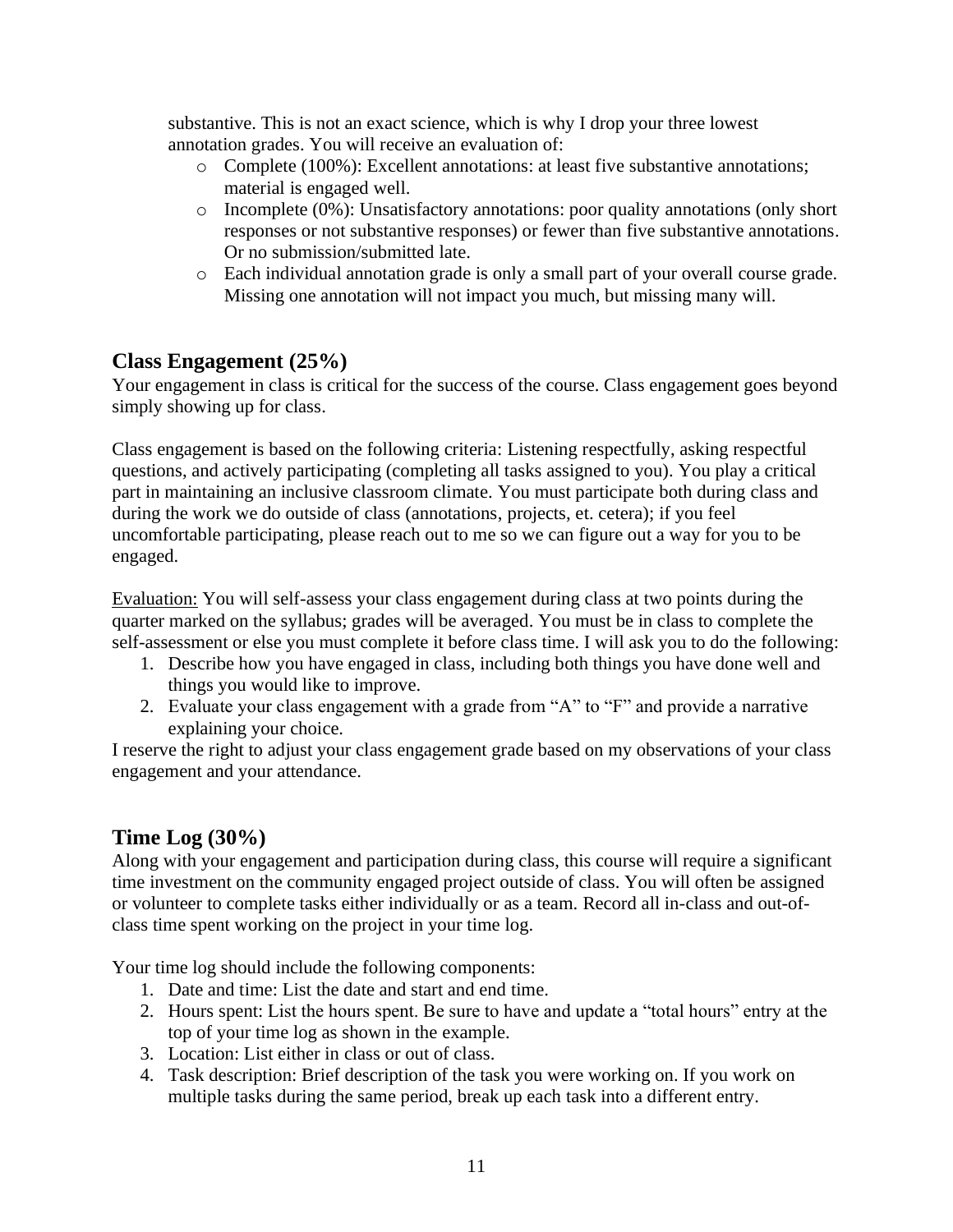substantive. This is not an exact science, which is why I drop your three lowest annotation grades. You will receive an evaluation of:

- o Complete (100%): Excellent annotations: at least five substantive annotations; material is engaged well.
- o Incomplete (0%): Unsatisfactory annotations: poor quality annotations (only short responses or not substantive responses) or fewer than five substantive annotations. Or no submission/submitted late.
- o Each individual annotation grade is only a small part of your overall course grade. Missing one annotation will not impact you much, but missing many will.

### **Class Engagement (25%)**

Your engagement in class is critical for the success of the course. Class engagement goes beyond simply showing up for class.

Class engagement is based on the following criteria: Listening respectfully, asking respectful questions, and actively participating (completing all tasks assigned to you). You play a critical part in maintaining an inclusive classroom climate. You must participate both during class and during the work we do outside of class (annotations, projects, et. cetera); if you feel uncomfortable participating, please reach out to me so we can figure out a way for you to be engaged.

Evaluation: You will self-assess your class engagement during class at two points during the quarter marked on the syllabus; grades will be averaged. You must be in class to complete the self-assessment or else you must complete it before class time. I will ask you to do the following:

- 1. Describe how you have engaged in class, including both things you have done well and things you would like to improve.
- 2. Evaluate your class engagement with a grade from "A" to "F" and provide a narrative explaining your choice.

I reserve the right to adjust your class engagement grade based on my observations of your class engagement and your attendance.

### **Time Log (30%)**

Along with your engagement and participation during class, this course will require a significant time investment on the community engaged project outside of class. You will often be assigned or volunteer to complete tasks either individually or as a team. Record all in-class and out-ofclass time spent working on the project in your time log.

Your time log should include the following components:

- 1. Date and time: List the date and start and end time.
- 2. Hours spent: List the hours spent. Be sure to have and update a "total hours" entry at the top of your time log as shown in the example.
- 3. Location: List either in class or out of class.
- 4. Task description: Brief description of the task you were working on. If you work on multiple tasks during the same period, break up each task into a different entry.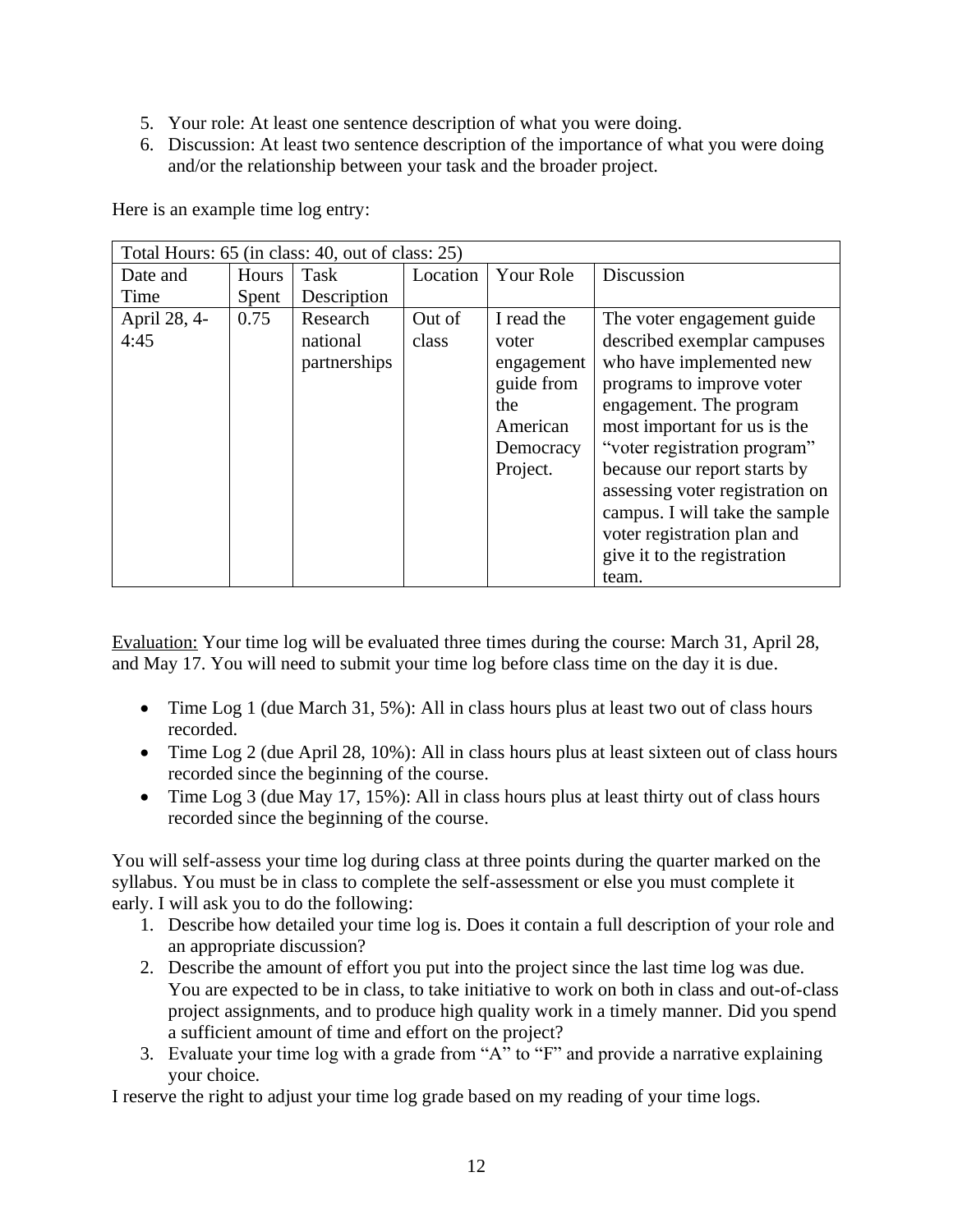- 5. Your role: At least one sentence description of what you were doing.
- 6. Discussion: At least two sentence description of the importance of what you were doing and/or the relationship between your task and the broader project.

| Total Hours: 65 (in class: 40, out of class: 25) |       |              |          |            |                                 |  |  |
|--------------------------------------------------|-------|--------------|----------|------------|---------------------------------|--|--|
| Date and                                         | Hours | Task         | Location | Your Role  | Discussion                      |  |  |
| Time                                             | Spent | Description  |          |            |                                 |  |  |
| April 28, 4-                                     | 0.75  | Research     | Out of   | I read the | The voter engagement guide      |  |  |
| 4:45                                             |       | national     | class    | voter      | described exemplar campuses     |  |  |
|                                                  |       | partnerships |          | engagement | who have implemented new        |  |  |
|                                                  |       |              |          | guide from | programs to improve voter       |  |  |
|                                                  |       |              |          | the        | engagement. The program         |  |  |
|                                                  |       |              |          | American   | most important for us is the    |  |  |
|                                                  |       |              |          | Democracy  | "voter registration program"    |  |  |
|                                                  |       |              |          | Project.   | because our report starts by    |  |  |
|                                                  |       |              |          |            | assessing voter registration on |  |  |
|                                                  |       |              |          |            | campus. I will take the sample  |  |  |
|                                                  |       |              |          |            | voter registration plan and     |  |  |
|                                                  |       |              |          |            | give it to the registration     |  |  |
|                                                  |       |              |          |            | team.                           |  |  |

Here is an example time log entry:

Evaluation: Your time log will be evaluated three times during the course: March 31, April 28, and May 17. You will need to submit your time log before class time on the day it is due.

- Time Log 1 (due March 31, 5%): All in class hours plus at least two out of class hours recorded.
- Time Log 2 (due April 28, 10%): All in class hours plus at least sixteen out of class hours recorded since the beginning of the course.
- Time Log 3 (due May 17, 15%): All in class hours plus at least thirty out of class hours recorded since the beginning of the course.

You will self-assess your time log during class at three points during the quarter marked on the syllabus. You must be in class to complete the self-assessment or else you must complete it early. I will ask you to do the following:

- 1. Describe how detailed your time log is. Does it contain a full description of your role and an appropriate discussion?
- 2. Describe the amount of effort you put into the project since the last time log was due. You are expected to be in class, to take initiative to work on both in class and out-of-class project assignments, and to produce high quality work in a timely manner. Did you spend a sufficient amount of time and effort on the project?
- 3. Evaluate your time log with a grade from "A" to "F" and provide a narrative explaining your choice.

I reserve the right to adjust your time log grade based on my reading of your time logs.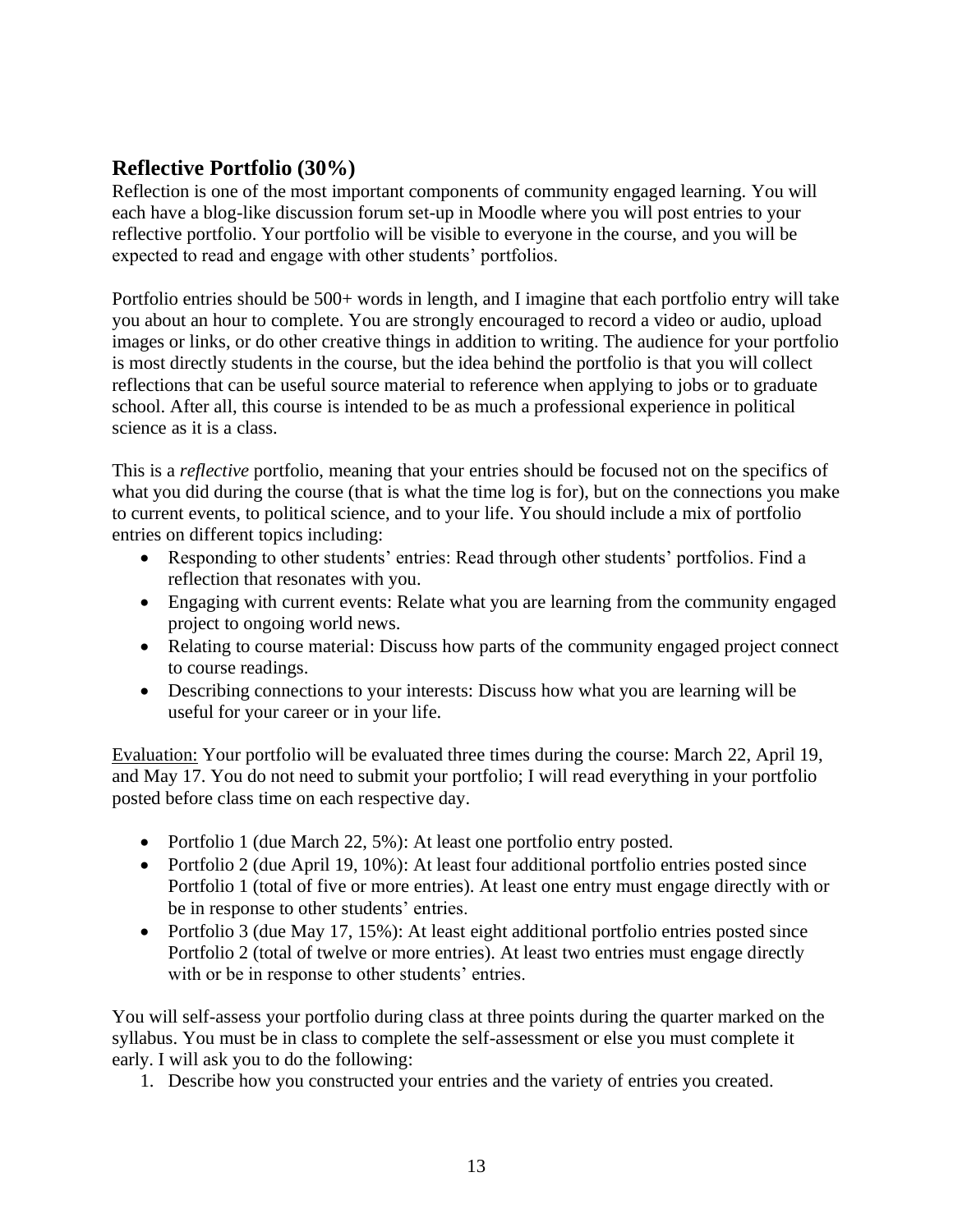### **Reflective Portfolio (30%)**

Reflection is one of the most important components of community engaged learning. You will each have a blog-like discussion forum set-up in Moodle where you will post entries to your reflective portfolio. Your portfolio will be visible to everyone in the course, and you will be expected to read and engage with other students' portfolios.

Portfolio entries should be 500+ words in length, and I imagine that each portfolio entry will take you about an hour to complete. You are strongly encouraged to record a video or audio, upload images or links, or do other creative things in addition to writing. The audience for your portfolio is most directly students in the course, but the idea behind the portfolio is that you will collect reflections that can be useful source material to reference when applying to jobs or to graduate school. After all, this course is intended to be as much a professional experience in political science as it is a class.

This is a *reflective* portfolio, meaning that your entries should be focused not on the specifics of what you did during the course (that is what the time log is for), but on the connections you make to current events, to political science, and to your life. You should include a mix of portfolio entries on different topics including:

- Responding to other students' entries: Read through other students' portfolios. Find a reflection that resonates with you.
- Engaging with current events: Relate what you are learning from the community engaged project to ongoing world news.
- Relating to course material: Discuss how parts of the community engaged project connect to course readings.
- Describing connections to your interests: Discuss how what you are learning will be useful for your career or in your life.

Evaluation: Your portfolio will be evaluated three times during the course: March 22, April 19, and May 17. You do not need to submit your portfolio; I will read everything in your portfolio posted before class time on each respective day.

- Portfolio 1 (due March 22, 5%): At least one portfolio entry posted.
- Portfolio 2 (due April 19, 10%): At least four additional portfolio entries posted since Portfolio 1 (total of five or more entries). At least one entry must engage directly with or be in response to other students' entries.
- Portfolio 3 (due May 17, 15%): At least eight additional portfolio entries posted since Portfolio 2 (total of twelve or more entries). At least two entries must engage directly with or be in response to other students' entries.

You will self-assess your portfolio during class at three points during the quarter marked on the syllabus. You must be in class to complete the self-assessment or else you must complete it early. I will ask you to do the following:

1. Describe how you constructed your entries and the variety of entries you created.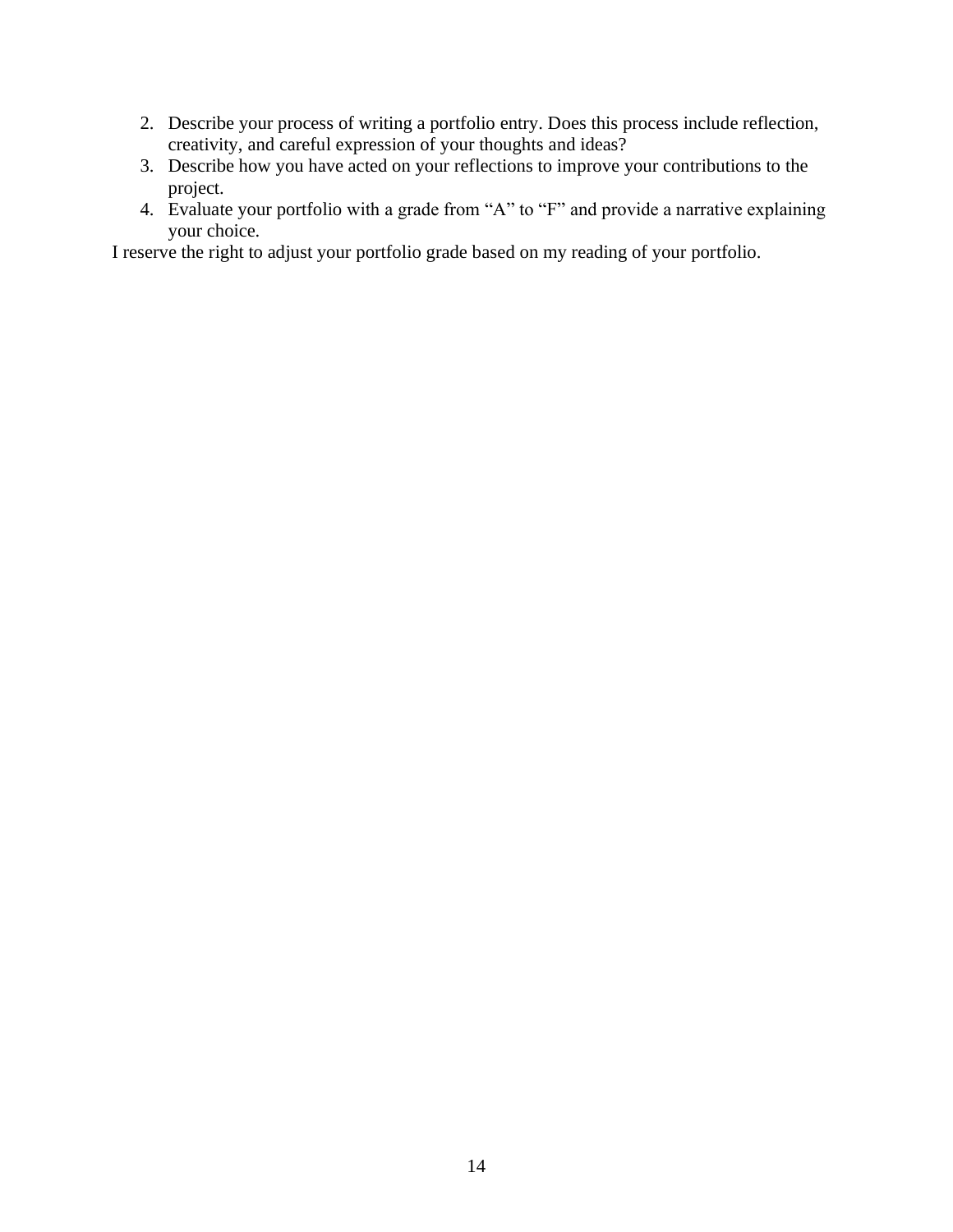- 2. Describe your process of writing a portfolio entry. Does this process include reflection, creativity, and careful expression of your thoughts and ideas?
- 3. Describe how you have acted on your reflections to improve your contributions to the project.
- 4. Evaluate your portfolio with a grade from "A" to "F" and provide a narrative explaining your choice.

I reserve the right to adjust your portfolio grade based on my reading of your portfolio.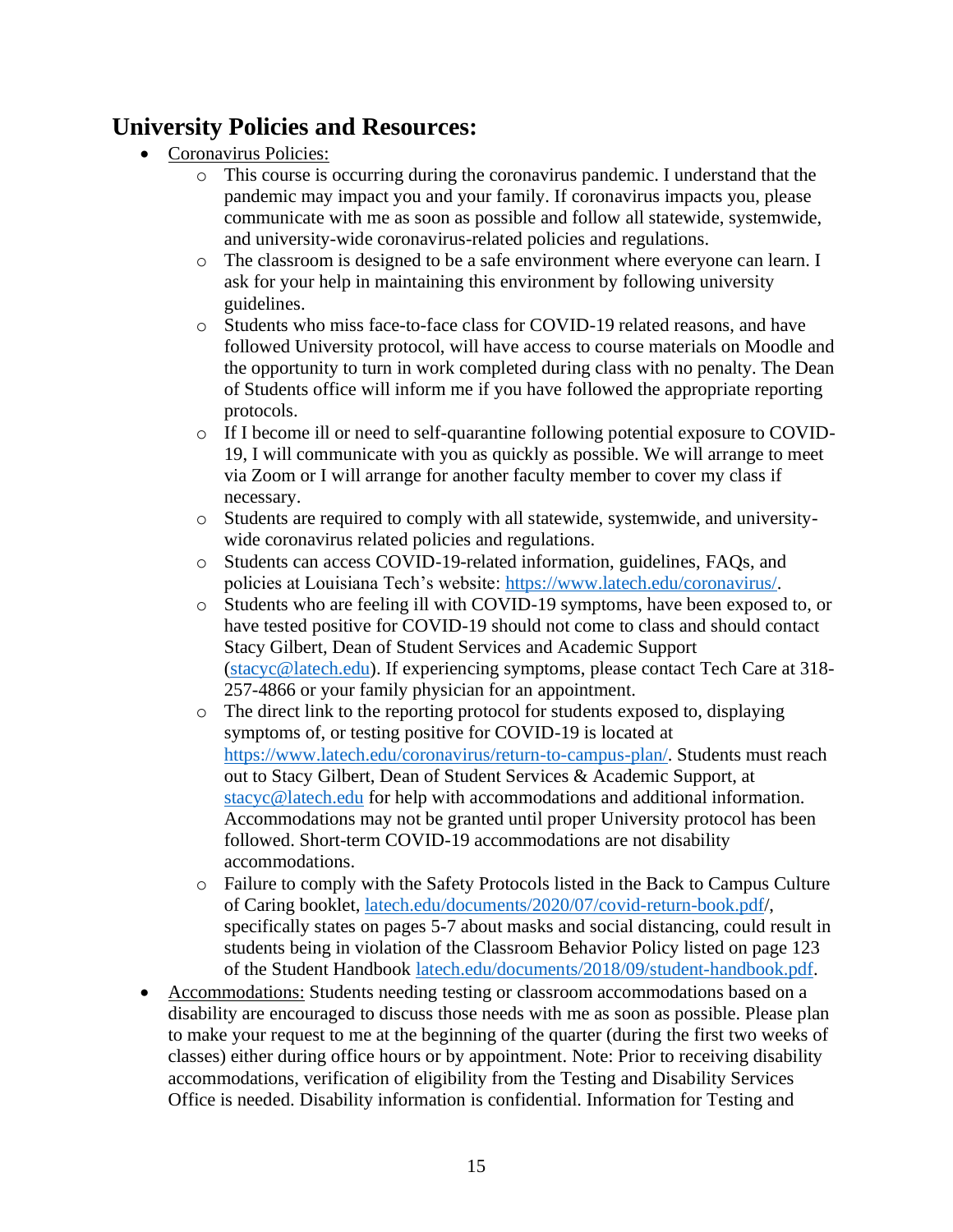## **University Policies and Resources:**

- Coronavirus Policies:
	- o This course is occurring during the coronavirus pandemic. I understand that the pandemic may impact you and your family. If coronavirus impacts you, please communicate with me as soon as possible and follow all statewide, systemwide, and university-wide coronavirus-related policies and regulations.
	- o The classroom is designed to be a safe environment where everyone can learn. I ask for your help in maintaining this environment by following university guidelines.
	- o Students who miss face-to-face class for COVID-19 related reasons, and have followed University protocol, will have access to course materials on Moodle and the opportunity to turn in work completed during class with no penalty. The Dean of Students office will inform me if you have followed the appropriate reporting protocols.
	- o If I become ill or need to self-quarantine following potential exposure to COVID-19, I will communicate with you as quickly as possible. We will arrange to meet via Zoom or I will arrange for another faculty member to cover my class if necessary.
	- o Students are required to comply with all statewide, systemwide, and universitywide coronavirus related policies and regulations.
	- o Students can access COVID-19-related information, guidelines, FAQs, and policies at Louisiana Tech's website: [https://www.latech.edu/coronavirus/.](https://www.latech.edu/coronavirus/)
	- o Students who are feeling ill with COVID-19 symptoms, have been exposed to, or have tested positive for COVID-19 should not come to class and should contact Stacy Gilbert, Dean of Student Services and Academic Support [\(stacyc@latech.edu\)](mailto:stacyc@latech.edu). If experiencing symptoms, please contact Tech Care at 318- 257-4866 or your family physician for an appointment.
	- $\circ$  The direct link to the reporting protocol for students exposed to, displaying symptoms of, or testing positive for COVID-19 is located at [https://www.latech.edu/coronavirus/return-to-campus-plan/.](https://www.latech.edu/coronavirus/return-to-campus-plan/for-students/) Students must reach out to Stacy Gilbert, Dean of Student Services & Academic Support, at [stacyc@latech.edu](mailto:stacyc@latech.edu) for help with accommodations and additional information. Accommodations may not be granted until proper University protocol has been followed. Short-term COVID-19 accommodations are not disability accommodations.
	- o Failure to comply with the Safety Protocols listed in the Back to Campus Culture of Caring booklet, [latech.edu/documents/2020/07/covid-return-book.pdf/](http://latech.edu/documents/2020/07/covid-return-book.pdf), specifically states on pages 5-7 about masks and social distancing, could result in students being in violation of the Classroom Behavior Policy listed on page 123 of the Student Handbook [latech.edu/documents/2018/09/student-handbook.pdf.](http://latech.edu/documents/2018/09/student-handbook.pdf)
- Accommodations: Students needing testing or classroom accommodations based on a disability are encouraged to discuss those needs with me as soon as possible. Please plan to make your request to me at the beginning of the quarter (during the first two weeks of classes) either during office hours or by appointment. Note: Prior to receiving disability accommodations, verification of eligibility from the Testing and Disability Services Office is needed. Disability information is confidential. Information for Testing and